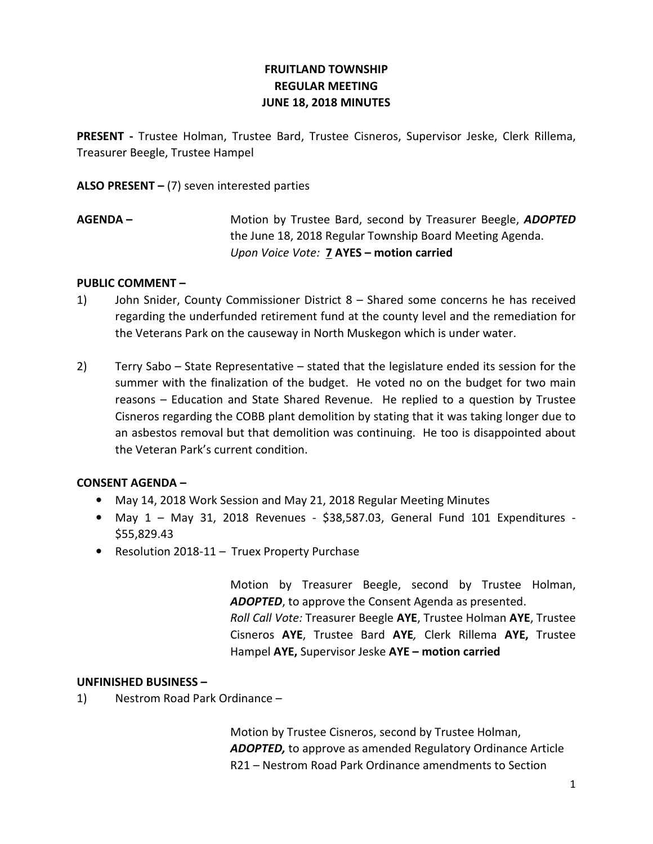# FRUITLAND TOWNSHIP REGULAR MEETING JUNE 18, 2018 MINUTES

PRESENT - Trustee Holman, Trustee Bard, Trustee Cisneros, Supervisor Jeske, Clerk Rillema, Treasurer Beegle, Trustee Hampel

ALSO PRESENT  $-$  (7) seven interested parties

AGENDA – Motion by Trustee Bard, second by Treasurer Beegle, ADOPTED the June 18, 2018 Regular Township Board Meeting Agenda. Upon Voice Vote: 7 AYES – motion carried

## PUBLIC COMMENT –

- 1) John Snider, County Commissioner District 8 Shared some concerns he has received regarding the underfunded retirement fund at the county level and the remediation for the Veterans Park on the causeway in North Muskegon which is under water.
- 2) Terry Sabo State Representative stated that the legislature ended its session for the summer with the finalization of the budget. He voted no on the budget for two main reasons – Education and State Shared Revenue. He replied to a question by Trustee Cisneros regarding the COBB plant demolition by stating that it was taking longer due to an asbestos removal but that demolition was continuing. He too is disappointed about the Veteran Park's current condition.

## CONSENT AGENDA –

- May 14, 2018 Work Session and May 21, 2018 Regular Meeting Minutes
- May 1 May 31, 2018 Revenues \$38,587.03, General Fund 101 Expenditures \$55,829.43
- Resolution 2018-11 Truex Property Purchase

 Motion by Treasurer Beegle, second by Trustee Holman, ADOPTED, to approve the Consent Agenda as presented. Roll Call Vote: Treasurer Beegle AYE, Trustee Holman AYE, Trustee Cisneros AYE, Trustee Bard AYE, Clerk Rillema AYE, Trustee Hampel AYE, Supervisor Jeske AYE - motion carried

## UNFINISHED BUSINESS –

1) Nestrom Road Park Ordinance –

 Motion by Trustee Cisneros, second by Trustee Holman, ADOPTED, to approve as amended Regulatory Ordinance Article R21 – Nestrom Road Park Ordinance amendments to Section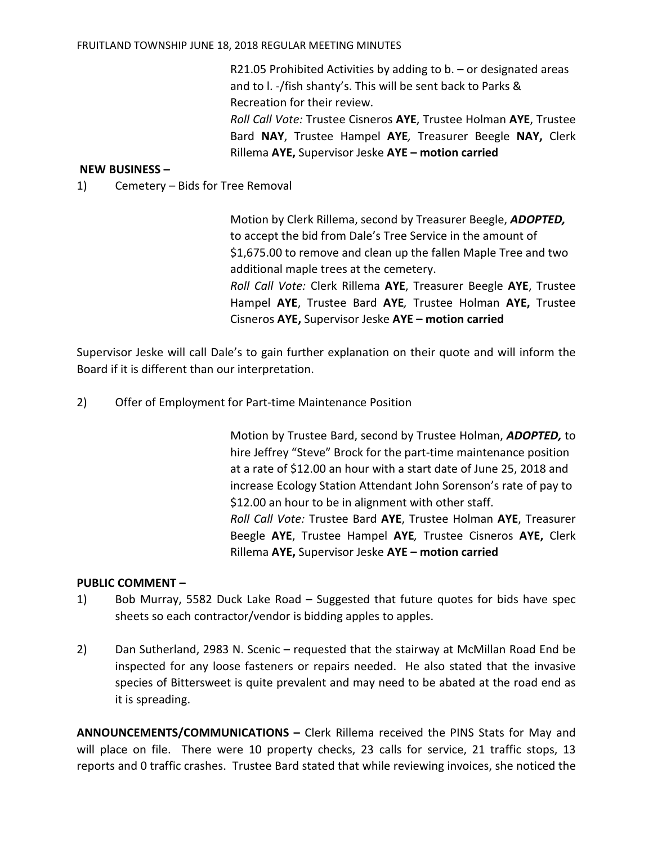#### FRUITLAND TOWNSHIP JUNE 18, 2018 REGULAR MEETING MINUTES

 R21.05 Prohibited Activities by adding to b. – or designated areas and to l. -/fish shanty's. This will be sent back to Parks & Recreation for their review. Roll Call Vote: Trustee Cisneros AYE, Trustee Holman AYE, Trustee

Bard NAY, Trustee Hampel AYE, Treasurer Beegle NAY, Clerk Rillema AYE, Supervisor Jeske AYE – motion carried

### NEW BUSINESS –

1) Cemetery – Bids for Tree Removal

 Motion by Clerk Rillema, second by Treasurer Beegle, ADOPTED, to accept the bid from Dale's Tree Service in the amount of \$1,675.00 to remove and clean up the fallen Maple Tree and two additional maple trees at the cemetery. Roll Call Vote: Clerk Rillema AYE, Treasurer Beegle AYE, Trustee Hampel AYE, Trustee Bard AYE, Trustee Holman AYE, Trustee Cisneros AYE, Supervisor Jeske AYE – motion carried

Supervisor Jeske will call Dale's to gain further explanation on their quote and will inform the Board if it is different than our interpretation.

2) Offer of Employment for Part-time Maintenance Position

Motion by Trustee Bard, second by Trustee Holman, **ADOPTED**, to hire Jeffrey "Steve" Brock for the part-time maintenance position at a rate of \$12.00 an hour with a start date of June 25, 2018 and increase Ecology Station Attendant John Sorenson's rate of pay to \$12.00 an hour to be in alignment with other staff. Roll Call Vote: Trustee Bard AYE, Trustee Holman AYE, Treasurer Beegle AYE, Trustee Hampel AYE, Trustee Cisneros AYE, Clerk Rillema AYE, Supervisor Jeske AYE – motion carried

#### PUBLIC COMMENT –

- 1) Bob Murray, 5582 Duck Lake Road Suggested that future quotes for bids have spec sheets so each contractor/vendor is bidding apples to apples.
- 2) Dan Sutherland, 2983 N. Scenic requested that the stairway at McMillan Road End be inspected for any loose fasteners or repairs needed. He also stated that the invasive species of Bittersweet is quite prevalent and may need to be abated at the road end as it is spreading.

ANNOUNCEMENTS/COMMUNICATIONS – Clerk Rillema received the PINS Stats for May and will place on file. There were 10 property checks, 23 calls for service, 21 traffic stops, 13 reports and 0 traffic crashes. Trustee Bard stated that while reviewing invoices, she noticed the